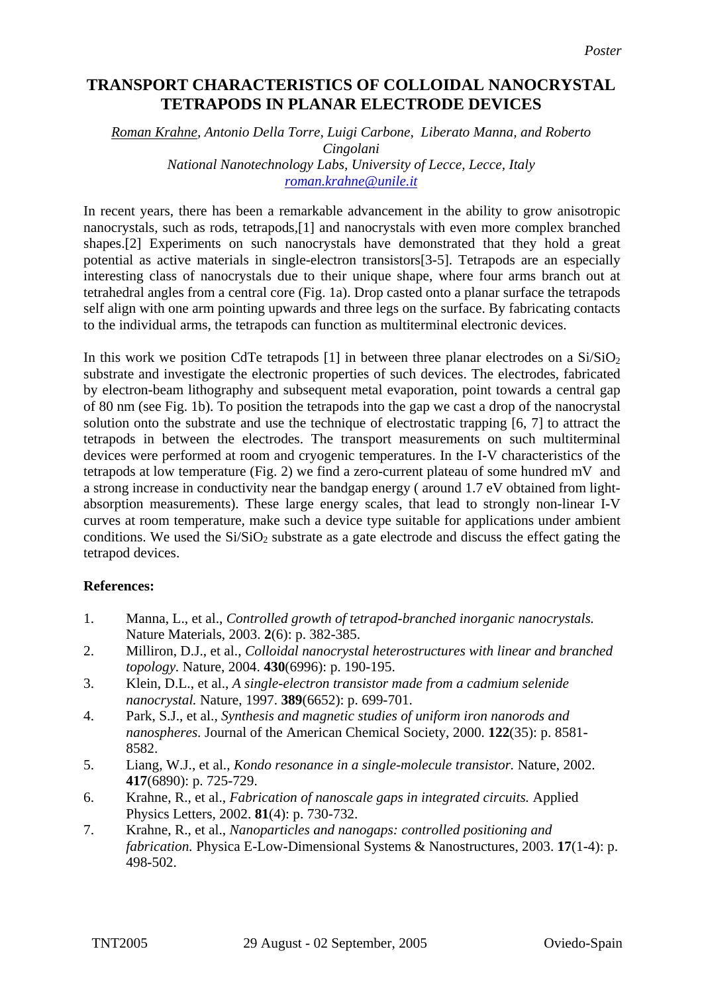## **TRANSPORT CHARACTERISTICS OF COLLOIDAL NANOCRYSTAL TETRAPODS IN PLANAR ELECTRODE DEVICES**

## *Roman Krahne, Antonio Della Torre, Luigi Carbone, Liberato Manna, and Roberto Cingolani National Nanotechnology Labs, University of Lecce, Lecce, Italy [roman.krahne@unile.it](mailto:Contact@E-mail)*

In recent years, there has been a remarkable advancement in the ability to grow anisotropic nanocrystals, such as rods, tetrapods,[1] and nanocrystals with even more complex branched shapes.[2] Experiments on such nanocrystals have demonstrated that they hold a great potential as active materials in single-electron transistors[3-5]. Tetrapods are an especially interesting class of nanocrystals due to their unique shape, where four arms branch out at tetrahedral angles from a central core (Fig. 1a). Drop casted onto a planar surface the tetrapods self align with one arm pointing upwards and three legs on the surface. By fabricating contacts to the individual arms, the tetrapods can function as multiterminal electronic devices.

In this work we position CdTe tetrapods [1] in between three planar electrodes on a  $Si/SiO<sub>2</sub>$ substrate and investigate the electronic properties of such devices. The electrodes, fabricated by electron-beam lithography and subsequent metal evaporation, point towards a central gap of 80 nm (see Fig. 1b). To position the tetrapods into the gap we cast a drop of the nanocrystal solution onto the substrate and use the technique of electrostatic trapping [6, 7] to attract the tetrapods in between the electrodes. The transport measurements on such multiterminal devices were performed at room and cryogenic temperatures. In the I-V characteristics of the tetrapods at low temperature (Fig. 2) we find a zero-current plateau of some hundred mV and a strong increase in conductivity near the bandgap energy ( around 1.7 eV obtained from lightabsorption measurements). These large energy scales, that lead to strongly non-linear I-V curves at room temperature, make such a device type suitable for applications under ambient conditions. We used the  $Si/SiO<sub>2</sub>$  substrate as a gate electrode and discuss the effect gating the tetrapod devices.

## **References:**

- 1. Manna, L., et al., *Controlled growth of tetrapod-branched inorganic nanocrystals.* Nature Materials, 2003. **2**(6): p. 382-385.
- 2. Milliron, D.J., et al., *Colloidal nanocrystal heterostructures with linear and branched topology.* Nature, 2004. **430**(6996): p. 190-195.
- 3. Klein, D.L., et al., *A single-electron transistor made from a cadmium selenide nanocrystal.* Nature, 1997. **389**(6652): p. 699-701.
- 4. Park, S.J., et al., *Synthesis and magnetic studies of uniform iron nanorods and nanospheres.* Journal of the American Chemical Society, 2000. **122**(35): p. 8581- 8582.
- 5. Liang, W.J., et al., *Kondo resonance in a single-molecule transistor.* Nature, 2002. **417**(6890): p. 725-729.
- 6. Krahne, R., et al., *Fabrication of nanoscale gaps in integrated circuits.* Applied Physics Letters, 2002. **81**(4): p. 730-732.
- 7. Krahne, R., et al., *Nanoparticles and nanogaps: controlled positioning and fabrication.* Physica E-Low-Dimensional Systems & Nanostructures, 2003. **17**(1-4): p. 498-502.